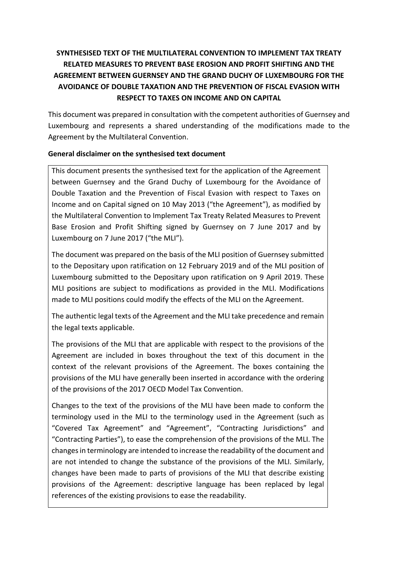# **SYNTHESISED TEXT OF THE MULTILATERAL CONVENTION TO IMPLEMENT TAX TREATY RELATED MEASURES TO PREVENT BASE EROSION AND PROFIT SHIFTING AND THE AGREEMENT BETWEEN GUERNSEY AND THE GRAND DUCHY OF LUXEMBOURG FOR THE AVOIDANCE OF DOUBLE TAXATION AND THE PREVENTION OF FISCAL EVASION WITH RESPECT TO TAXES ON INCOME AND ON CAPITAL**

This document was prepared in consultation with the competent authorities of Guernsey and Luxembourg and represents a shared understanding of the modifications made to the Agreement by the Multilateral Convention.

# **General disclaimer on the synthesised text document**

This document presents the synthesised text for the application of the Agreement between Guernsey and the Grand Duchy of Luxembourg for the Avoidance of Double Taxation and the Prevention of Fiscal Evasion with respect to Taxes on Income and on Capital signed on 10 May 2013 ("the Agreement"), as modified by the Multilateral Convention to Implement Tax Treaty Related Measures to Prevent Base Erosion and Profit Shifting signed by Guernsey on 7 June 2017 and by Luxembourg on 7 June 2017 ("the MLI").

The document was prepared on the basis of the MLI position of Guernsey submitted to the Depositary upon ratification on 12 February 2019 and of the MLI position of Luxembourg submitted to the Depositary upon ratification on 9 April 2019. These MLI positions are subject to modifications as provided in the MLI. Modifications made to MLI positions could modify the effects of the MLI on the Agreement.

The authentic legal texts of the Agreement and the MLI take precedence and remain the legal texts applicable.

The provisions of the MLI that are applicable with respect to the provisions of the Agreement are included in boxes throughout the text of this document in the context of the relevant provisions of the Agreement. The boxes containing the provisions of the MLI have generally been inserted in accordance with the ordering of the provisions of the 2017 OECD Model Tax Convention.

Changes to the text of the provisions of the MLI have been made to conform the terminology used in the MLI to the terminology used in the Agreement (such as "Covered Tax Agreement" and "Agreement", "Contracting Jurisdictions" and "Contracting Parties"), to ease the comprehension of the provisions of the MLI. The changes in terminology are intended to increase the readability of the document and are not intended to change the substance of the provisions of the MLI. Similarly, changes have been made to parts of provisions of the MLI that describe existing provisions of the Agreement: descriptive language has been replaced by legal references of the existing provisions to ease the readability.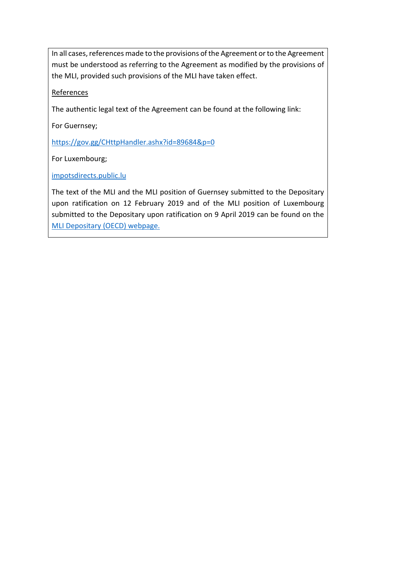In all cases, references made to the provisions of the Agreement or to the Agreement must be understood as referring to the Agreement as modified by the provisions of the MLI, provided such provisions of the MLI have taken effect.

# References

The authentic legal text of the Agreement can be found at the following link:

For Guernsey;

<https://gov.gg/CHttpHandler.ashx?id=89684&p=0>

For Luxembourg;

[impotsdirects.public.lu](https://impotsdirects.public.lu/fr.html)

The text of the MLI and the MLI position of Guernsey submitted to the Depositary upon ratification on 12 February 2019 and of the MLI position of Luxembourg submitted to the Depositary upon ratification on 9 April 2019 can be found on the [MLI Depositary \(OECD\) webpage.](https://www.oecd.org/tax/treaties/multilateral-convention-to-implement-tax-treaty-related-measures-to-prevent-beps.htm)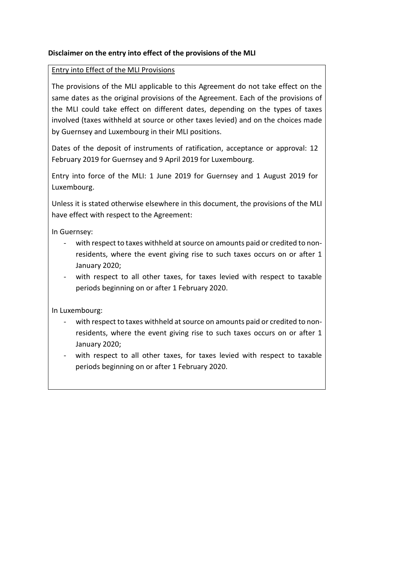# **Disclaimer on the entry into effect of the provisions of the MLI**

# Entry into Effect of the MLI Provisions

The provisions of the MLI applicable to this Agreement do not take effect on the same dates as the original provisions of the Agreement. Each of the provisions of the MLI could take effect on different dates, depending on the types of taxes involved (taxes withheld at source or other taxes levied) and on the choices made by Guernsey and Luxembourg in their MLI positions.

Dates of the deposit of instruments of ratification, acceptance or approval: 12 February 2019 for Guernsey and 9 April 2019 for Luxembourg.

Entry into force of the MLI: 1 June 2019 for Guernsey and 1 August 2019 for Luxembourg.

Unless it is stated otherwise elsewhere in this document, the provisions of the MLI have effect with respect to the Agreement:

In Guernsey:

- with respect to taxes withheld at source on amounts paid or credited to nonresidents, where the event giving rise to such taxes occurs on or after 1 January 2020;
- with respect to all other taxes, for taxes levied with respect to taxable periods beginning on or after 1 February 2020.

In Luxembourg:

- with respect to taxes withheld at source on amounts paid or credited to nonresidents, where the event giving rise to such taxes occurs on or after 1 January 2020;
- with respect to all other taxes, for taxes levied with respect to taxable periods beginning on or after 1 February 2020.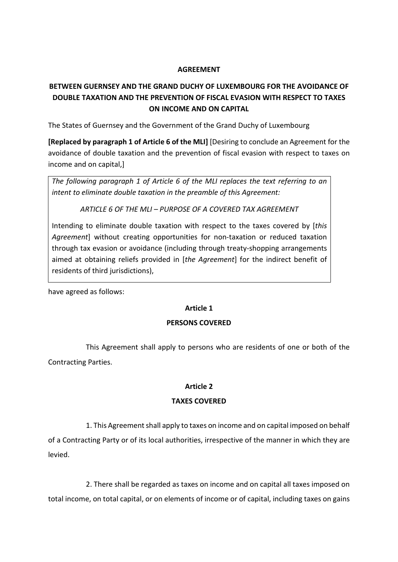## **AGREEMENT**

# **BETWEEN GUERNSEY AND THE GRAND DUCHY OF LUXEMBOURG FOR THE AVOIDANCE OF DOUBLE TAXATION AND THE PREVENTION OF FISCAL EVASION WITH RESPECT TO TAXES ON INCOME AND ON CAPITAL**

The States of Guernsey and the Government of the Grand Duchy of Luxembourg

**[Replaced by paragraph 1 of Article 6 of the MLI]** [Desiring to conclude an Agreement for the avoidance of double taxation and the prevention of fiscal evasion with respect to taxes on income and on capital,]

*The following paragraph 1 of Article 6 of the MLI replaces the text referring to an intent to eliminate double taxation in the preamble of this Agreement:*

*ARTICLE 6 OF THE MLI – PURPOSE OF A COVERED TAX AGREEMENT*

Intending to eliminate double taxation with respect to the taxes covered by [*this Agreement*] without creating opportunities for non-taxation or reduced taxation through tax evasion or avoidance (including through treaty-shopping arrangements aimed at obtaining reliefs provided in [*the Agreement*] for the indirect benefit of residents of third jurisdictions),

have agreed as follows:

# **Article 1**

# **PERSONS COVERED**

This Agreement shall apply to persons who are residents of one or both of the Contracting Parties.

# **Article 2**

# **TAXES COVERED**

1. This Agreement shall apply to taxes on income and on capital imposed on behalf of a Contracting Party or of its local authorities, irrespective of the manner in which they are levied.

2. There shall be regarded as taxes on income and on capital all taxes imposed on total income, on total capital, or on elements of income or of capital, including taxes on gains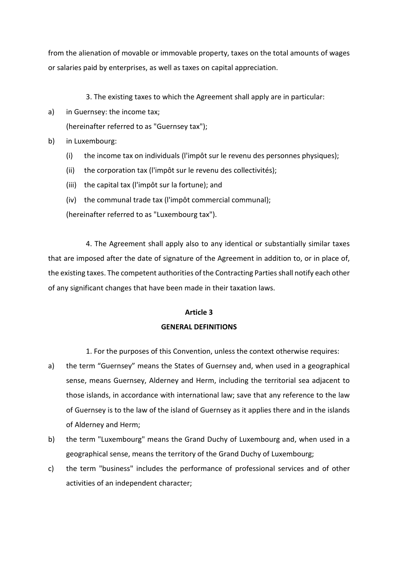from the alienation of movable or immovable property, taxes on the total amounts of wages or salaries paid by enterprises, as well as taxes on capital appreciation.

3. The existing taxes to which the Agreement shall apply are in particular:

a) in Guernsey: the income tax;

(hereinafter referred to as "Guernsey tax");

- b) in Luxembourg:
	- (i) the income tax on individuals (l'impôt sur le revenu des personnes physiques);
	- (ii) the corporation tax (l'impôt sur le revenu des collectivités);
	- (iii) the capital tax (l'impôt sur la fortune); and
	- (iv) the communal trade tax (l'impôt commercial communal);

(hereinafter referred to as "Luxembourg tax").

4. The Agreement shall apply also to any identical or substantially similar taxes that are imposed after the date of signature of the Agreement in addition to, or in place of, the existing taxes. The competent authorities of the Contracting Parties shall notify each other of any significant changes that have been made in their taxation laws.

### **Article 3**

## **GENERAL DEFINITIONS**

1. For the purposes of this Convention, unless the context otherwise requires:

- a) the term "Guernsey" means the States of Guernsey and, when used in a geographical sense, means Guernsey, Alderney and Herm, including the territorial sea adjacent to those islands, in accordance with international law; save that any reference to the law of Guernsey is to the law of the island of Guernsey as it applies there and in the islands of Alderney and Herm;
- b) the term "Luxembourg" means the Grand Duchy of Luxembourg and, when used in a geographical sense, means the territory of the Grand Duchy of Luxembourg;
- c) the term "business" includes the performance of professional services and of other activities of an independent character;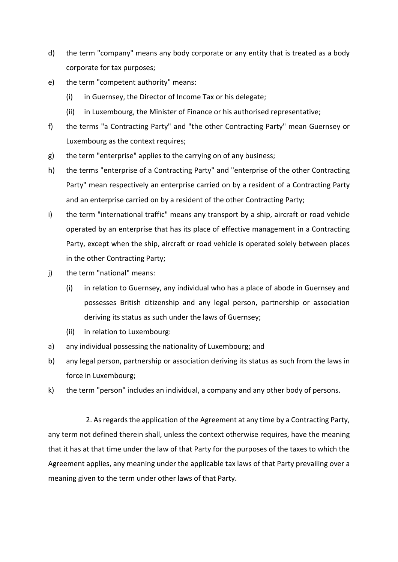- d) the term "company" means any body corporate or any entity that is treated as a body corporate for tax purposes;
- e) the term "competent authority" means:
	- (i) in Guernsey, the Director of Income Tax or his delegate;
	- (ii) in Luxembourg, the Minister of Finance or his authorised representative;
- f) the terms "a Contracting Party" and "the other Contracting Party" mean Guernsey or Luxembourg as the context requires;
- g) the term "enterprise" applies to the carrying on of any business;
- h) the terms "enterprise of a Contracting Party" and "enterprise of the other Contracting Party" mean respectively an enterprise carried on by a resident of a Contracting Party and an enterprise carried on by a resident of the other Contracting Party;
- i) the term "international traffic" means any transport by a ship, aircraft or road vehicle operated by an enterprise that has its place of effective management in a Contracting Party, except when the ship, aircraft or road vehicle is operated solely between places in the other Contracting Party;
- j) the term "national" means:
	- (i) in relation to Guernsey, any individual who has a place of abode in Guernsey and possesses British citizenship and any legal person, partnership or association deriving its status as such under the laws of Guernsey;
	- (ii) in relation to Luxembourg:
- a) any individual possessing the nationality of Luxembourg; and
- b) any legal person, partnership or association deriving its status as such from the laws in force in Luxembourg;
- k) the term "person" includes an individual, a company and any other body of persons.

2. As regards the application of the Agreement at any time by a Contracting Party, any term not defined therein shall, unless the context otherwise requires, have the meaning that it has at that time under the law of that Party for the purposes of the taxes to which the Agreement applies, any meaning under the applicable tax laws of that Party prevailing over a meaning given to the term under other laws of that Party.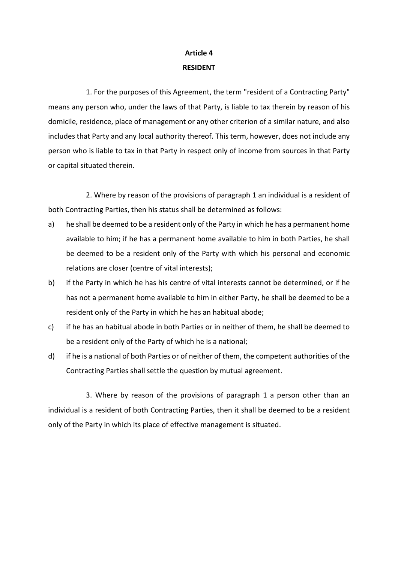#### **RESIDENT**

1. For the purposes of this Agreement, the term "resident of a Contracting Party" means any person who, under the laws of that Party, is liable to tax therein by reason of his domicile, residence, place of management or any other criterion of a similar nature, and also includes that Party and any local authority thereof. This term, however, does not include any person who is liable to tax in that Party in respect only of income from sources in that Party or capital situated therein.

2. Where by reason of the provisions of paragraph 1 an individual is a resident of both Contracting Parties, then his status shall be determined as follows:

- a) he shall be deemed to be a resident only of the Party in which he has a permanent home available to him; if he has a permanent home available to him in both Parties, he shall be deemed to be a resident only of the Party with which his personal and economic relations are closer (centre of vital interests);
- b) if the Party in which he has his centre of vital interests cannot be determined, or if he has not a permanent home available to him in either Party, he shall be deemed to be a resident only of the Party in which he has an habitual abode;
- c) if he has an habitual abode in both Parties or in neither of them, he shall be deemed to be a resident only of the Party of which he is a national;
- d) if he is a national of both Parties or of neither of them, the competent authorities of the Contracting Parties shall settle the question by mutual agreement.

3. Where by reason of the provisions of paragraph 1 a person other than an individual is a resident of both Contracting Parties, then it shall be deemed to be a resident only of the Party in which its place of effective management is situated.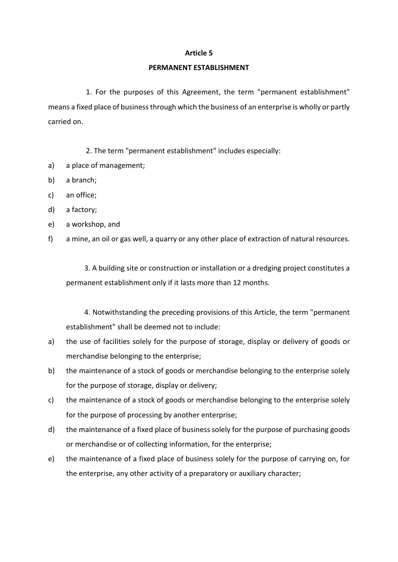## **PERMANENT ESTABLISHMENT**

1. For the purposes of this Agreement, the term "permanent establishment" means a fixed place of business through which the business of an enterprise is wholly or partly carried on.

2. The term "permanent establishment" includes especially:

- a) a place of management;
- b) a branch;
- c) an office;
- d) a factory;
- e) a workshop, and
- f) a mine, an oil or gas well, a quarry or any other place of extraction of natural resources.

 3. A building site or construction or installation or a dredging project constitutes a permanent establishment only if it lasts more than 12 months.

 4. Notwithstanding the preceding provisions of this Article, the term "permanent establishment" shall be deemed not to include:

- a) the use of facilities solely for the purpose of storage, display or delivery of goods or merchandise belonging to the enterprise;
- b) the maintenance of a stock of goods or merchandise belonging to the enterprise solely for the purpose of storage, display or delivery;
- c) the maintenance of a stock of goods or merchandise belonging to the enterprise solely for the purpose of processing by another enterprise;
- d) the maintenance of a fixed place of business solely for the purpose of purchasing goods or merchandise or of collecting information, for the enterprise;
- e) the maintenance of a fixed place of business solely for the purpose of carrying on, for the enterprise, any other activity of a preparatory or auxiliary character;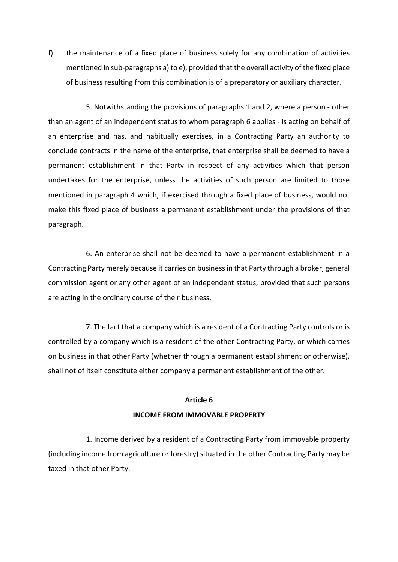f) the maintenance of a fixed place of business solely for any combination of activities mentioned in sub-paragraphs a) to e), provided that the overall activity of the fixed place of business resulting from this combination is of a preparatory or auxiliary character.

5. Notwithstanding the provisions of paragraphs 1 and 2, where a person - other than an agent of an independent status to whom paragraph 6 applies - is acting on behalf of an enterprise and has, and habitually exercises, in a Contracting Party an authority to conclude contracts in the name of the enterprise, that enterprise shall be deemed to have a permanent establishment in that Party in respect of any activities which that person undertakes for the enterprise, unless the activities of such person are limited to those mentioned in paragraph 4 which, if exercised through a fixed place of business, would not make this fixed place of business a permanent establishment under the provisions of that paragraph.

6. An enterprise shall not be deemed to have a permanent establishment in a Contracting Party merely because it carries on business in that Party through a broker, general commission agent or any other agent of an independent status, provided that such persons are acting in the ordinary course of their business.

7. The fact that a company which is a resident of a Contracting Party controls or is controlled by a company which is a resident of the other Contracting Party, or which carries on business in that other Party (whether through a permanent establishment or otherwise), shall not of itself constitute either company a permanent establishment of the other.

#### **Article 6**

### **INCOME FROM IMMOVABLE PROPERTY**

1. Income derived by a resident of a Contracting Party from immovable property (including income from agriculture or forestry) situated in the other Contracting Party may be taxed in that other Party.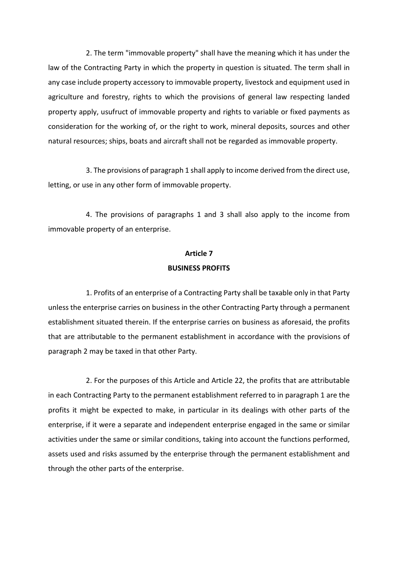2. The term "immovable property" shall have the meaning which it has under the law of the Contracting Party in which the property in question is situated. The term shall in any case include property accessory to immovable property, livestock and equipment used in agriculture and forestry, rights to which the provisions of general law respecting landed property apply, usufruct of immovable property and rights to variable or fixed payments as consideration for the working of, or the right to work, mineral deposits, sources and other natural resources; ships, boats and aircraft shall not be regarded as immovable property.

3. The provisions of paragraph 1 shall apply to income derived from the direct use, letting, or use in any other form of immovable property.

4. The provisions of paragraphs 1 and 3 shall also apply to the income from immovable property of an enterprise.

# **Article 7 BUSINESS PROFITS**

1. Profits of an enterprise of a Contracting Party shall be taxable only in that Party unless the enterprise carries on business in the other Contracting Party through a permanent establishment situated therein. If the enterprise carries on business as aforesaid, the profits that are attributable to the permanent establishment in accordance with the provisions of paragraph 2 may be taxed in that other Party.

2. For the purposes of this Article and Article 22, the profits that are attributable in each Contracting Party to the permanent establishment referred to in paragraph 1 are the profits it might be expected to make, in particular in its dealings with other parts of the enterprise, if it were a separate and independent enterprise engaged in the same or similar activities under the same or similar conditions, taking into account the functions performed, assets used and risks assumed by the enterprise through the permanent establishment and through the other parts of the enterprise.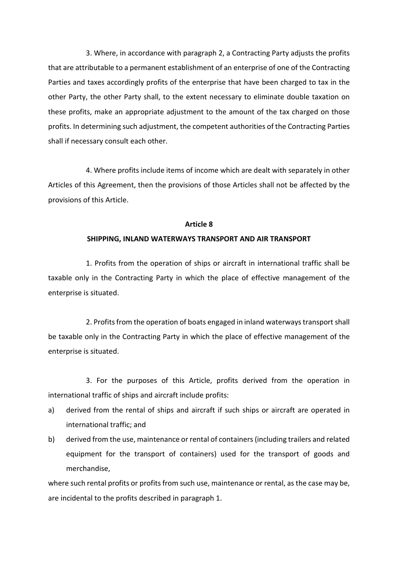3. Where, in accordance with paragraph 2, a Contracting Party adjusts the profits that are attributable to a permanent establishment of an enterprise of one of the Contracting Parties and taxes accordingly profits of the enterprise that have been charged to tax in the other Party, the other Party shall, to the extent necessary to eliminate double taxation on these profits, make an appropriate adjustment to the amount of the tax charged on those profits. In determining such adjustment, the competent authorities of the Contracting Parties shall if necessary consult each other.

4. Where profits include items of income which are dealt with separately in other Articles of this Agreement, then the provisions of those Articles shall not be affected by the provisions of this Article.

#### **Article 8**

## **SHIPPING, INLAND WATERWAYS TRANSPORT AND AIR TRANSPORT**

1. Profits from the operation of ships or aircraft in international traffic shall be taxable only in the Contracting Party in which the place of effective management of the enterprise is situated.

2. Profits from the operation of boats engaged in inland waterways transport shall be taxable only in the Contracting Party in which the place of effective management of the enterprise is situated.

3. For the purposes of this Article, profits derived from the operation in international traffic of ships and aircraft include profits:

- a) derived from the rental of ships and aircraft if such ships or aircraft are operated in international traffic; and
- b) derived from the use, maintenance or rental of containers (including trailers and related equipment for the transport of containers) used for the transport of goods and merchandise,

where such rental profits or profits from such use, maintenance or rental, as the case may be, are incidental to the profits described in paragraph 1.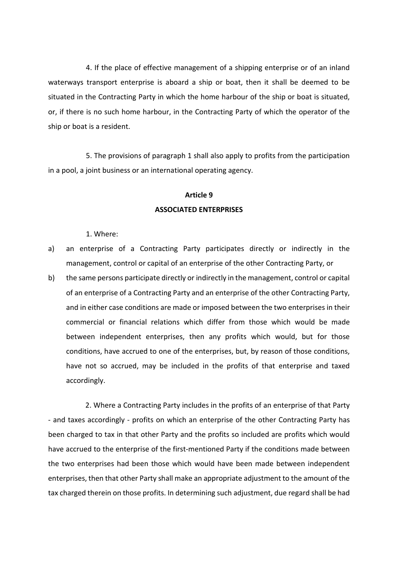4. If the place of effective management of a shipping enterprise or of an inland waterways transport enterprise is aboard a ship or boat, then it shall be deemed to be situated in the Contracting Party in which the home harbour of the ship or boat is situated, or, if there is no such home harbour, in the Contracting Party of which the operator of the ship or boat is a resident.

5. The provisions of paragraph 1 shall also apply to profits from the participation in a pool, a joint business or an international operating agency.

# **Article 9 ASSOCIATED ENTERPRISES**

1. Where:

- a) an enterprise of a Contracting Party participates directly or indirectly in the management, control or capital of an enterprise of the other Contracting Party, or
- b) the same persons participate directly or indirectly in the management, control or capital of an enterprise of a Contracting Party and an enterprise of the other Contracting Party, and in either case conditions are made or imposed between the two enterprises in their commercial or financial relations which differ from those which would be made between independent enterprises, then any profits which would, but for those conditions, have accrued to one of the enterprises, but, by reason of those conditions, have not so accrued, may be included in the profits of that enterprise and taxed accordingly.

2. Where a Contracting Party includes in the profits of an enterprise of that Party - and taxes accordingly - profits on which an enterprise of the other Contracting Party has been charged to tax in that other Party and the profits so included are profits which would have accrued to the enterprise of the first-mentioned Party if the conditions made between the two enterprises had been those which would have been made between independent enterprises, then that other Party shall make an appropriate adjustment to the amount of the tax charged therein on those profits. In determining such adjustment, due regard shall be had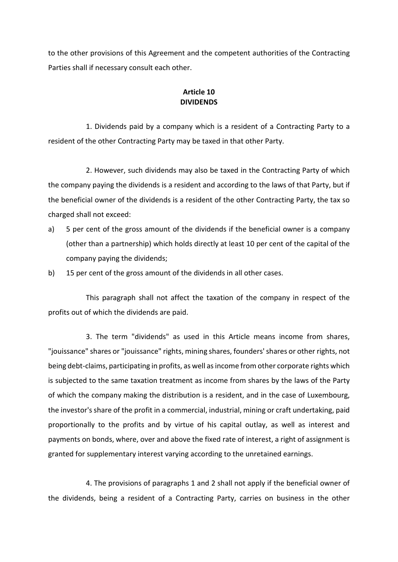to the other provisions of this Agreement and the competent authorities of the Contracting Parties shall if necessary consult each other.

# **Article 10 DIVIDENDS**

1. Dividends paid by a company which is a resident of a Contracting Party to a resident of the other Contracting Party may be taxed in that other Party.

2. However, such dividends may also be taxed in the Contracting Party of which the company paying the dividends is a resident and according to the laws of that Party, but if the beneficial owner of the dividends is a resident of the other Contracting Party, the tax so charged shall not exceed:

- a) 5 per cent of the gross amount of the dividends if the beneficial owner is a company (other than a partnership) which holds directly at least 10 per cent of the capital of the company paying the dividends;
- b) 15 per cent of the gross amount of the dividends in all other cases.

This paragraph shall not affect the taxation of the company in respect of the profits out of which the dividends are paid.

3. The term "dividends" as used in this Article means income from shares, "jouissance" shares or "jouissance" rights, mining shares, founders' shares or other rights, not being debt-claims, participating in profits, as well as income from other corporate rights which is subjected to the same taxation treatment as income from shares by the laws of the Party of which the company making the distribution is a resident, and in the case of Luxembourg, the investor's share of the profit in a commercial, industrial, mining or craft undertaking, paid proportionally to the profits and by virtue of his capital outlay, as well as interest and payments on bonds, where, over and above the fixed rate of interest, a right of assignment is granted for supplementary interest varying according to the unretained earnings.

4. The provisions of paragraphs 1 and 2 shall not apply if the beneficial owner of the dividends, being a resident of a Contracting Party, carries on business in the other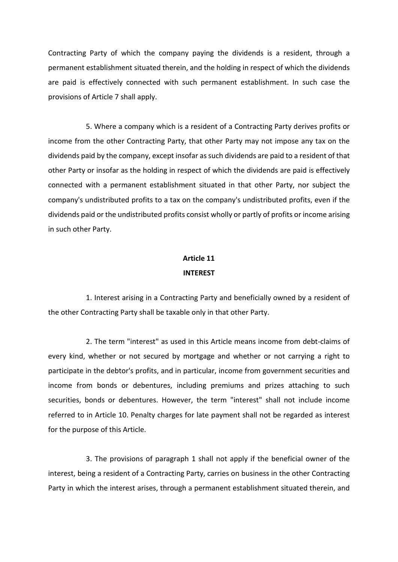Contracting Party of which the company paying the dividends is a resident, through a permanent establishment situated therein, and the holding in respect of which the dividends are paid is effectively connected with such permanent establishment. In such case the provisions of Article 7 shall apply.

5. Where a company which is a resident of a Contracting Party derives profits or income from the other Contracting Party, that other Party may not impose any tax on the dividends paid by the company, except insofar as such dividends are paid to a resident of that other Party or insofar as the holding in respect of which the dividends are paid is effectively connected with a permanent establishment situated in that other Party, nor subject the company's undistributed profits to a tax on the company's undistributed profits, even if the dividends paid or the undistributed profits consist wholly or partly of profits or income arising in such other Party.

# **Article 11 INTEREST**

1. Interest arising in a Contracting Party and beneficially owned by a resident of the other Contracting Party shall be taxable only in that other Party.

2. The term "interest" as used in this Article means income from debt-claims of every kind, whether or not secured by mortgage and whether or not carrying a right to participate in the debtor's profits, and in particular, income from government securities and income from bonds or debentures, including premiums and prizes attaching to such securities, bonds or debentures. However, the term "interest" shall not include income referred to in Article 10. Penalty charges for late payment shall not be regarded as interest for the purpose of this Article.

3. The provisions of paragraph 1 shall not apply if the beneficial owner of the interest, being a resident of a Contracting Party, carries on business in the other Contracting Party in which the interest arises, through a permanent establishment situated therein, and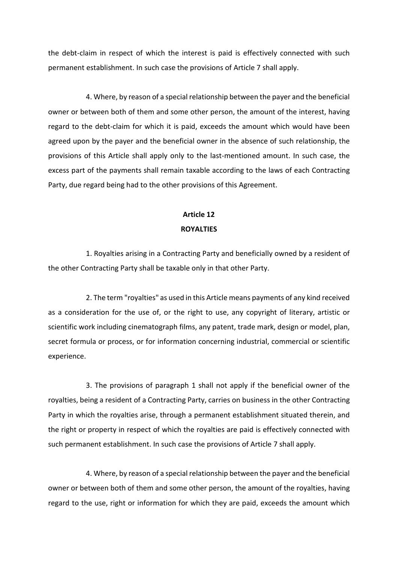the debt-claim in respect of which the interest is paid is effectively connected with such permanent establishment. In such case the provisions of Article 7 shall apply.

4. Where, by reason of a special relationship between the payer and the beneficial owner or between both of them and some other person, the amount of the interest, having regard to the debt-claim for which it is paid, exceeds the amount which would have been agreed upon by the payer and the beneficial owner in the absence of such relationship, the provisions of this Article shall apply only to the last-mentioned amount. In such case, the excess part of the payments shall remain taxable according to the laws of each Contracting Party, due regard being had to the other provisions of this Agreement.

# **Article 12 ROYALTIES**

1. Royalties arising in a Contracting Party and beneficially owned by a resident of the other Contracting Party shall be taxable only in that other Party.

2. The term "royalties" as used in this Article means payments of any kind received as a consideration for the use of, or the right to use, any copyright of literary, artistic or scientific work including cinematograph films, any patent, trade mark, design or model, plan, secret formula or process, or for information concerning industrial, commercial or scientific experience.

3. The provisions of paragraph 1 shall not apply if the beneficial owner of the royalties, being a resident of a Contracting Party, carries on business in the other Contracting Party in which the royalties arise, through a permanent establishment situated therein, and the right or property in respect of which the royalties are paid is effectively connected with such permanent establishment. In such case the provisions of Article 7 shall apply.

4. Where, by reason of a special relationship between the payer and the beneficial owner or between both of them and some other person, the amount of the royalties, having regard to the use, right or information for which they are paid, exceeds the amount which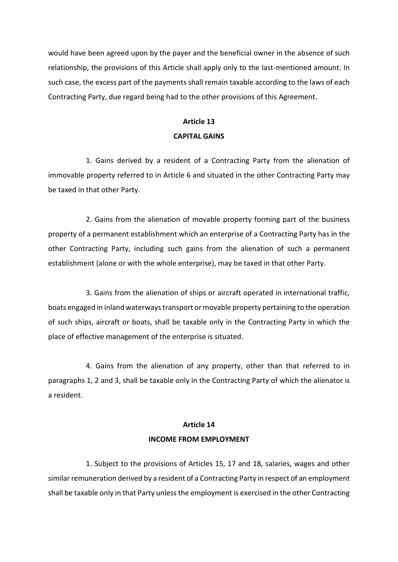would have been agreed upon by the payer and the beneficial owner in the absence of such relationship, the provisions of this Article shall apply only to the last-mentioned amount. In such case, the excess part of the payments shall remain taxable according to the laws of each Contracting Party, due regard being had to the other provisions of this Agreement.

# **Article 13 CAPITAL GAINS**

1. Gains derived by a resident of a Contracting Party from the alienation of immovable property referred to in Article 6 and situated in the other Contracting Party may be taxed in that other Party.

2. Gains from the alienation of movable property forming part of the business property of a permanent establishment which an enterprise of a Contracting Party has in the other Contracting Party, including such gains from the alienation of such a permanent establishment (alone or with the whole enterprise), may be taxed in that other Party.

3. Gains from the alienation of ships or aircraft operated in international traffic, boats engaged in inland waterways transport or movable property pertaining to the operation of such ships, aircraft or boats, shall be taxable only in the Contracting Party in which the place of effective management of the enterprise is situated.

4. Gains from the alienation of any property, other than that referred to in paragraphs 1, 2 and 3, shall be taxable only in the Contracting Party of which the alienator is a resident.

# **Article 14 INCOME FROM EMPLOYMENT**

1. Subject to the provisions of Articles 15, 17 and 18, salaries, wages and other similar remuneration derived by a resident of a Contracting Party in respect of an employment shall be taxable only in that Party unless the employment is exercised in the other Contracting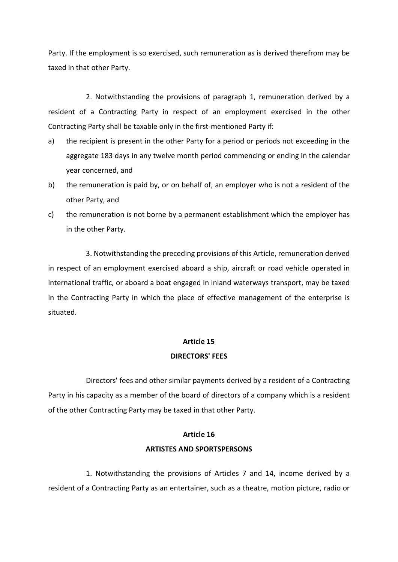Party. If the employment is so exercised, such remuneration as is derived therefrom may be taxed in that other Party.

2. Notwithstanding the provisions of paragraph 1, remuneration derived by a resident of a Contracting Party in respect of an employment exercised in the other Contracting Party shall be taxable only in the first-mentioned Party if:

- a) the recipient is present in the other Party for a period or periods not exceeding in the aggregate 183 days in any twelve month period commencing or ending in the calendar year concerned, and
- b) the remuneration is paid by, or on behalf of, an employer who is not a resident of the other Party, and
- c) the remuneration is not borne by a permanent establishment which the employer has in the other Party.

3. Notwithstanding the preceding provisions of this Article, remuneration derived in respect of an employment exercised aboard a ship, aircraft or road vehicle operated in international traffic, or aboard a boat engaged in inland waterways transport, may be taxed in the Contracting Party in which the place of effective management of the enterprise is situated.

# **Article 15**

#### **DIRECTORS' FEES**

Directors' fees and other similar payments derived by a resident of a Contracting Party in his capacity as a member of the board of directors of a company which is a resident of the other Contracting Party may be taxed in that other Party.

## **Article 16**

## **ARTISTES AND SPORTSPERSONS**

1. Notwithstanding the provisions of Articles 7 and 14, income derived by a resident of a Contracting Party as an entertainer, such as a theatre, motion picture, radio or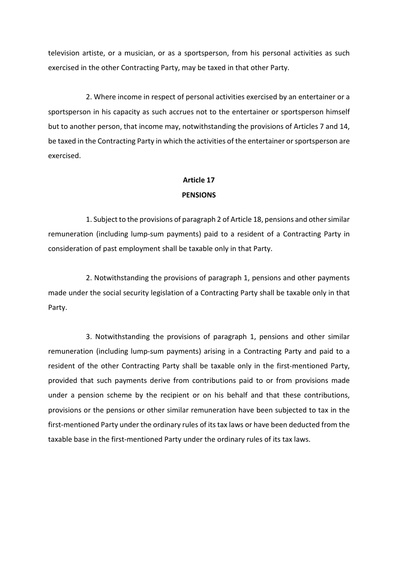television artiste, or a musician, or as a sportsperson, from his personal activities as such exercised in the other Contracting Party, may be taxed in that other Party.

2. Where income in respect of personal activities exercised by an entertainer or a sportsperson in his capacity as such accrues not to the entertainer or sportsperson himself but to another person, that income may, notwithstanding the provisions of Articles 7 and 14, be taxed in the Contracting Party in which the activities of the entertainer or sportsperson are exercised.

# **Article 17 PENSIONS**

1. Subject to the provisions of paragraph 2 of Article 18, pensions and other similar remuneration (including lump-sum payments) paid to a resident of a Contracting Party in consideration of past employment shall be taxable only in that Party.

2. Notwithstanding the provisions of paragraph 1, pensions and other payments made under the social security legislation of a Contracting Party shall be taxable only in that Party.

3. Notwithstanding the provisions of paragraph 1, pensions and other similar remuneration (including lump-sum payments) arising in a Contracting Party and paid to a resident of the other Contracting Party shall be taxable only in the first-mentioned Party, provided that such payments derive from contributions paid to or from provisions made under a pension scheme by the recipient or on his behalf and that these contributions, provisions or the pensions or other similar remuneration have been subjected to tax in the first-mentioned Party under the ordinary rules of its tax laws or have been deducted from the taxable base in the first-mentioned Party under the ordinary rules of its tax laws.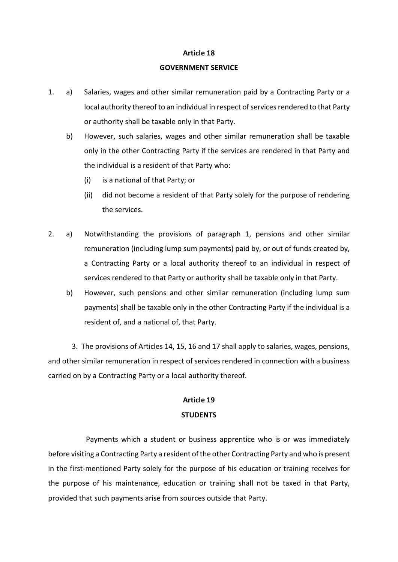### **GOVERNMENT SERVICE**

- 1. a) Salaries, wages and other similar remuneration paid by a Contracting Party or a local authority thereof to an individual in respect of services rendered to that Party or authority shall be taxable only in that Party.
	- b) However, such salaries, wages and other similar remuneration shall be taxable only in the other Contracting Party if the services are rendered in that Party and the individual is a resident of that Party who:
		- (i) is a national of that Party; or
		- (ii) did not become a resident of that Party solely for the purpose of rendering the services.
- 2. a) Notwithstanding the provisions of paragraph 1, pensions and other similar remuneration (including lump sum payments) paid by, or out of funds created by, a Contracting Party or a local authority thereof to an individual in respect of services rendered to that Party or authority shall be taxable only in that Party.
	- b) However, such pensions and other similar remuneration (including lump sum payments) shall be taxable only in the other Contracting Party if the individual is a resident of, and a national of, that Party.

3. The provisions of Articles 14, 15, 16 and 17 shall apply to salaries, wages, pensions, and other similar remuneration in respect of services rendered in connection with a business carried on by a Contracting Party or a local authority thereof.

# **Article 19**

### **STUDENTS**

Payments which a student or business apprentice who is or was immediately before visiting a Contracting Party a resident of the other Contracting Party and who is present in the first-mentioned Party solely for the purpose of his education or training receives for the purpose of his maintenance, education or training shall not be taxed in that Party, provided that such payments arise from sources outside that Party.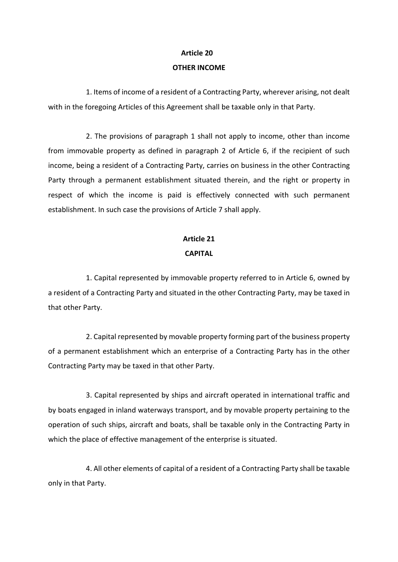#### **OTHER INCOME**

1. Items of income of a resident of a Contracting Party, wherever arising, not dealt with in the foregoing Articles of this Agreement shall be taxable only in that Party.

2. The provisions of paragraph 1 shall not apply to income, other than income from immovable property as defined in paragraph 2 of Article 6, if the recipient of such income, being a resident of a Contracting Party, carries on business in the other Contracting Party through a permanent establishment situated therein, and the right or property in respect of which the income is paid is effectively connected with such permanent establishment. In such case the provisions of Article 7 shall apply.

# **Article 21 CAPITAL**

1. Capital represented by immovable property referred to in Article 6, owned by a resident of a Contracting Party and situated in the other Contracting Party, may be taxed in that other Party.

2. Capital represented by movable property forming part of the business property of a permanent establishment which an enterprise of a Contracting Party has in the other Contracting Party may be taxed in that other Party.

3. Capital represented by ships and aircraft operated in international traffic and by boats engaged in inland waterways transport, and by movable property pertaining to the operation of such ships, aircraft and boats, shall be taxable only in the Contracting Party in which the place of effective management of the enterprise is situated.

4. All other elements of capital of a resident of a Contracting Party shall be taxable only in that Party.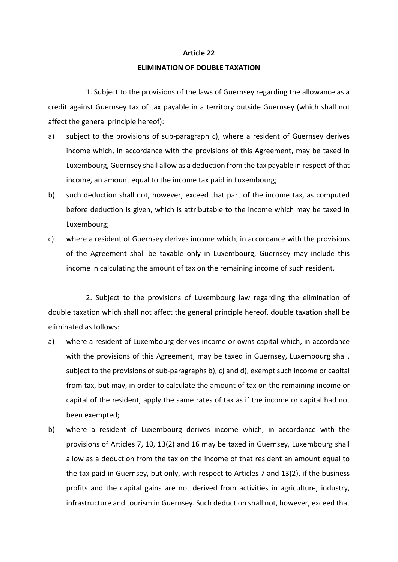### **ELIMINATION OF DOUBLE TAXATION**

1. Subject to the provisions of the laws of Guernsey regarding the allowance as a credit against Guernsey tax of tax payable in a territory outside Guernsey (which shall not affect the general principle hereof):

- a) subject to the provisions of sub-paragraph c), where a resident of Guernsey derives income which, in accordance with the provisions of this Agreement, may be taxed in Luxembourg, Guernsey shall allow as a deduction from the tax payable in respect of that income, an amount equal to the income tax paid in Luxembourg;
- b) such deduction shall not, however, exceed that part of the income tax, as computed before deduction is given, which is attributable to the income which may be taxed in Luxembourg;
- c) where a resident of Guernsey derives income which, in accordance with the provisions of the Agreement shall be taxable only in Luxembourg, Guernsey may include this income in calculating the amount of tax on the remaining income of such resident.

2. Subject to the provisions of Luxembourg law regarding the elimination of double taxation which shall not affect the general principle hereof, double taxation shall be eliminated as follows:

- a) where a resident of Luxembourg derives income or owns capital which, in accordance with the provisions of this Agreement, may be taxed in Guernsey, Luxembourg shall, subject to the provisions of sub-paragraphs b), c) and d), exempt such income or capital from tax, but may, in order to calculate the amount of tax on the remaining income or capital of the resident, apply the same rates of tax as if the income or capital had not been exempted;
- b) where a resident of Luxembourg derives income which, in accordance with the provisions of Articles 7, 10, 13(2) and 16 may be taxed in Guernsey, Luxembourg shall allow as a deduction from the tax on the income of that resident an amount equal to the tax paid in Guernsey, but only, with respect to Articles 7 and 13(2), if the business profits and the capital gains are not derived from activities in agriculture, industry, infrastructure and tourism in Guernsey. Such deduction shall not, however, exceed that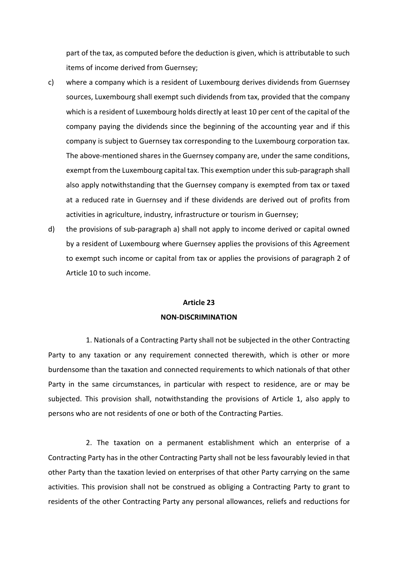part of the tax, as computed before the deduction is given, which is attributable to such items of income derived from Guernsey;

- c) where a company which is a resident of Luxembourg derives dividends from Guernsey sources, Luxembourg shall exempt such dividends from tax, provided that the company which is a resident of Luxembourg holds directly at least 10 per cent of the capital of the company paying the dividends since the beginning of the accounting year and if this company is subject to Guernsey tax corresponding to the Luxembourg corporation tax. The above-mentioned shares in the Guernsey company are, under the same conditions, exempt from the Luxembourg capital tax. This exemption under this sub-paragraph shall also apply notwithstanding that the Guernsey company is exempted from tax or taxed at a reduced rate in Guernsey and if these dividends are derived out of profits from activities in agriculture, industry, infrastructure or tourism in Guernsey;
- d) the provisions of sub-paragraph a) shall not apply to income derived or capital owned by a resident of Luxembourg where Guernsey applies the provisions of this Agreement to exempt such income or capital from tax or applies the provisions of paragraph 2 of Article 10 to such income.

#### **Article 23**

#### **NON-DISCRIMINATION**

1. Nationals of a Contracting Party shall not be subjected in the other Contracting Party to any taxation or any requirement connected therewith, which is other or more burdensome than the taxation and connected requirements to which nationals of that other Party in the same circumstances, in particular with respect to residence, are or may be subjected. This provision shall, notwithstanding the provisions of Article 1, also apply to persons who are not residents of one or both of the Contracting Parties.

2. The taxation on a permanent establishment which an enterprise of a Contracting Party has in the other Contracting Party shall not be less favourably levied in that other Party than the taxation levied on enterprises of that other Party carrying on the same activities. This provision shall not be construed as obliging a Contracting Party to grant to residents of the other Contracting Party any personal allowances, reliefs and reductions for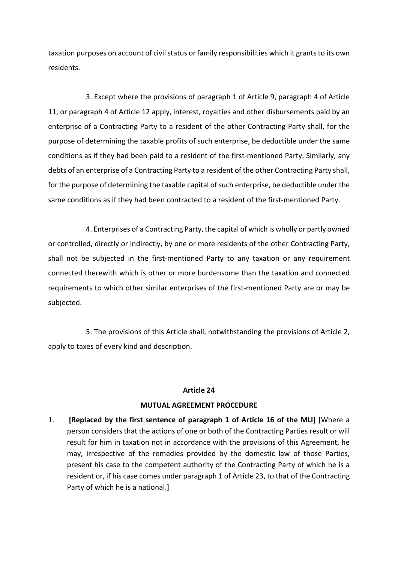taxation purposes on account of civil status or family responsibilities which it grants to its own residents.

3. Except where the provisions of paragraph 1 of Article 9, paragraph 4 of Article 11, or paragraph 4 of Article 12 apply, interest, royalties and other disbursements paid by an enterprise of a Contracting Party to a resident of the other Contracting Party shall, for the purpose of determining the taxable profits of such enterprise, be deductible under the same conditions as if they had been paid to a resident of the first-mentioned Party. Similarly, any debts of an enterprise of a Contracting Party to a resident of the other Contracting Party shall, for the purpose of determining the taxable capital of such enterprise, be deductible under the same conditions as if they had been contracted to a resident of the first-mentioned Party.

4. Enterprises of a Contracting Party, the capital of which is wholly or partly owned or controlled, directly or indirectly, by one or more residents of the other Contracting Party, shall not be subjected in the first-mentioned Party to any taxation or any requirement connected therewith which is other or more burdensome than the taxation and connected requirements to which other similar enterprises of the first-mentioned Party are or may be subjected.

5. The provisions of this Article shall, notwithstanding the provisions of Article 2, apply to taxes of every kind and description.

### **Article 24**

### **MUTUAL AGREEMENT PROCEDURE**

1. **[Replaced by the first sentence of paragraph 1 of Article 16 of the MLI]** [Where a person considers that the actions of one or both of the Contracting Parties result or will result for him in taxation not in accordance with the provisions of this Agreement, he may, irrespective of the remedies provided by the domestic law of those Parties, present his case to the competent authority of the Contracting Party of which he is a resident or, if his case comes under paragraph 1 of Article 23, to that of the Contracting Party of which he is a national.]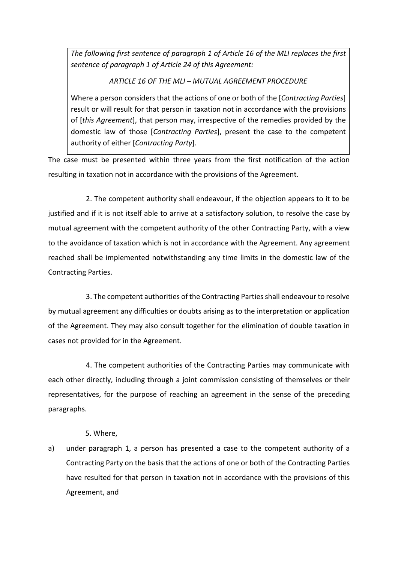*The following first sentence of paragraph 1 of Article 16 of the MLI replaces the first sentence of paragraph 1 of Article 24 of this Agreement:*

*ARTICLE 16 OF THE MLI – MUTUAL AGREEMENT PROCEDURE*

Where a person considers that the actions of one or both of the [*Contracting Parties*] result or will result for that person in taxation not in accordance with the provisions of [*this Agreement*], that person may, irrespective of the remedies provided by the domestic law of those [*Contracting Parties*], present the case to the competent authority of either [*Contracting Party*].

The case must be presented within three years from the first notification of the action resulting in taxation not in accordance with the provisions of the Agreement.

2. The competent authority shall endeavour, if the objection appears to it to be justified and if it is not itself able to arrive at a satisfactory solution, to resolve the case by mutual agreement with the competent authority of the other Contracting Party, with a view to the avoidance of taxation which is not in accordance with the Agreement. Any agreement reached shall be implemented notwithstanding any time limits in the domestic law of the Contracting Parties.

3. The competent authorities of the Contracting Parties shall endeavour to resolve by mutual agreement any difficulties or doubts arising as to the interpretation or application of the Agreement. They may also consult together for the elimination of double taxation in cases not provided for in the Agreement.

4. The competent authorities of the Contracting Parties may communicate with each other directly, including through a joint commission consisting of themselves or their representatives, for the purpose of reaching an agreement in the sense of the preceding paragraphs.

5. Where,

a) under paragraph 1, a person has presented a case to the competent authority of a Contracting Party on the basis that the actions of one or both of the Contracting Parties have resulted for that person in taxation not in accordance with the provisions of this Agreement, and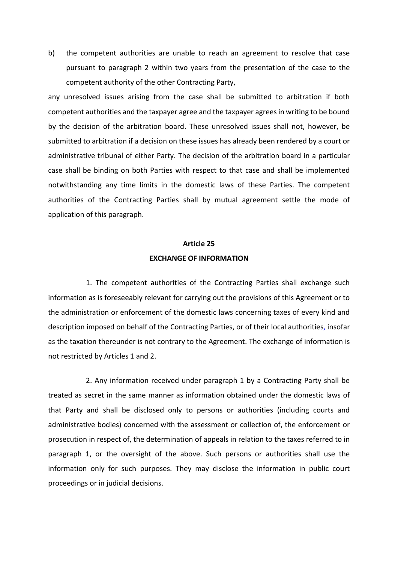b) the competent authorities are unable to reach an agreement to resolve that case pursuant to paragraph 2 within two years from the presentation of the case to the competent authority of the other Contracting Party,

any unresolved issues arising from the case shall be submitted to arbitration if both competent authorities and the taxpayer agree and the taxpayer agrees in writing to be bound by the decision of the arbitration board. These unresolved issues shall not, however, be submitted to arbitration if a decision on these issues has already been rendered by a court or administrative tribunal of either Party. The decision of the arbitration board in a particular case shall be binding on both Parties with respect to that case and shall be implemented notwithstanding any time limits in the domestic laws of these Parties. The competent authorities of the Contracting Parties shall by mutual agreement settle the mode of application of this paragraph.

# **Article 25 EXCHANGE OF INFORMATION**

1. The competent authorities of the Contracting Parties shall exchange such information as is foreseeably relevant for carrying out the provisions of this Agreement or to the administration or enforcement of the domestic laws concerning taxes of every kind and description imposed on behalf of the Contracting Parties, or of their local authorities, insofar as the taxation thereunder is not contrary to the Agreement. The exchange of information is not restricted by Articles 1 and 2.

2. Any information received under paragraph 1 by a Contracting Party shall be treated as secret in the same manner as information obtained under the domestic laws of that Party and shall be disclosed only to persons or authorities (including courts and administrative bodies) concerned with the assessment or collection of, the enforcement or prosecution in respect of, the determination of appeals in relation to the taxes referred to in paragraph 1, or the oversight of the above. Such persons or authorities shall use the information only for such purposes. They may disclose the information in public court proceedings or in judicial decisions.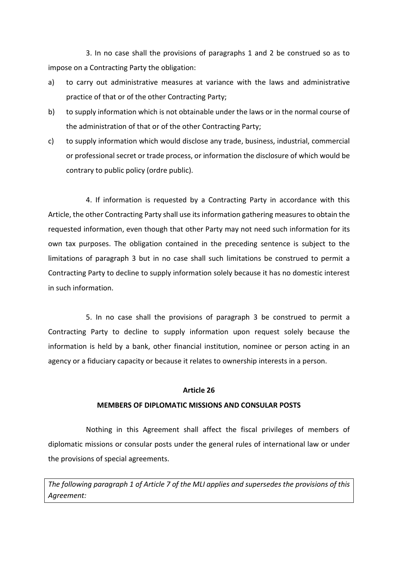3. In no case shall the provisions of paragraphs 1 and 2 be construed so as to impose on a Contracting Party the obligation:

- a) to carry out administrative measures at variance with the laws and administrative practice of that or of the other Contracting Party;
- b) to supply information which is not obtainable under the laws or in the normal course of the administration of that or of the other Contracting Party;
- c) to supply information which would disclose any trade, business, industrial, commercial or professional secret or trade process, or information the disclosure of which would be contrary to public policy (ordre public).

4. If information is requested by a Contracting Party in accordance with this Article, the other Contracting Party shall use its information gathering measures to obtain the requested information, even though that other Party may not need such information for its own tax purposes. The obligation contained in the preceding sentence is subject to the limitations of paragraph 3 but in no case shall such limitations be construed to permit a Contracting Party to decline to supply information solely because it has no domestic interest in such information.

5. In no case shall the provisions of paragraph 3 be construed to permit a Contracting Party to decline to supply information upon request solely because the information is held by a bank, other financial institution, nominee or person acting in an agency or a fiduciary capacity or because it relates to ownership interests in a person.

### **Article 26**

### **MEMBERS OF DIPLOMATIC MISSIONS AND CONSULAR POSTS**

Nothing in this Agreement shall affect the fiscal privileges of members of diplomatic missions or consular posts under the general rules of international law or under the provisions of special agreements.

*The following paragraph 1 of Article 7 of the MLI applies and supersedes the provisions of this Agreement:*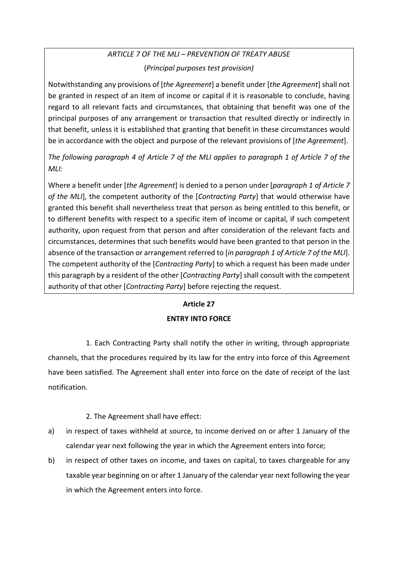# *ARTICLE 7 OF THE MLI – PREVENTION OF TREATY ABUSE* (*Principal purposes test provision)*

Notwithstanding any provisions of [*the Agreement*] a benefit under [*the Agreement*] shall not be granted in respect of an item of income or capital if it is reasonable to conclude, having regard to all relevant facts and circumstances, that obtaining that benefit was one of the principal purposes of any arrangement or transaction that resulted directly or indirectly in that benefit, unless it is established that granting that benefit in these circumstances would be in accordance with the object and purpose of the relevant provisions of [*the Agreement*].

*The following paragraph 4 of Article 7 of the MLI applies to paragraph 1 of Article 7 of the MLI:*

Where a benefit under [*the Agreement*] is denied to a person under [*paragraph 1 of Article 7 of the MLI*], the competent authority of the [*Contracting Party*] that would otherwise have granted this benefit shall nevertheless treat that person as being entitled to this benefit, or to different benefits with respect to a specific item of income or capital, if such competent authority, upon request from that person and after consideration of the relevant facts and circumstances, determines that such benefits would have been granted to that person in the absence of the transaction or arrangement referred to [*in paragraph 1 of Article 7 of the MLI*]. The competent authority of the [*Contracting Party*] to which a request has been made under this paragraph by a resident of the other [*Contracting Party*] shall consult with the competent authority of that other [*Contracting Party*] before rejecting the request.

# **Article 27**

# **ENTRY INTO FORCE**

1. Each Contracting Party shall notify the other in writing, through appropriate channels, that the procedures required by its law for the entry into force of this Agreement have been satisfied. The Agreement shall enter into force on the date of receipt of the last notification.

# 2. The Agreement shall have effect:

- a) in respect of taxes withheld at source, to income derived on or after 1 January of the calendar year next following the year in which the Agreement enters into force;
- b) in respect of other taxes on income, and taxes on capital, to taxes chargeable for any taxable year beginning on or after 1 January of the calendar year next following the year in which the Agreement enters into force.